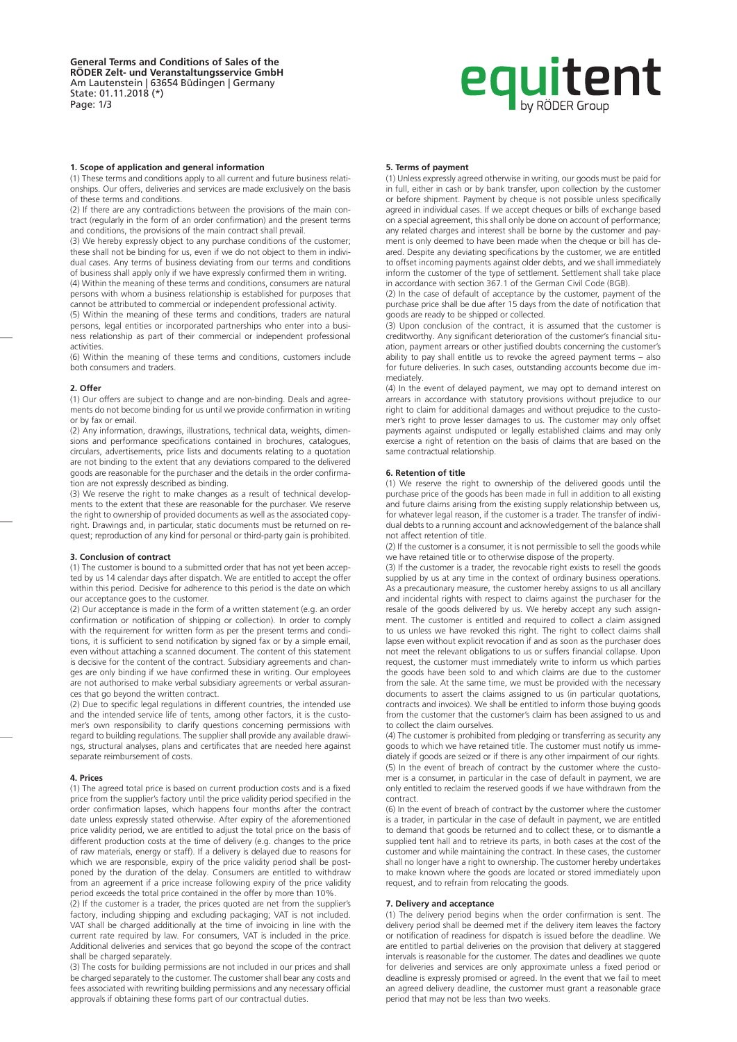# **equitent**

### **1. Scope of application and general information**

(1) These terms and conditions apply to all current and future business relationships. Our offers, deliveries and services are made exclusively on the basis of these terms and conditions.

(2) If there are any contradictions between the provisions of the main contract (regularly in the form of an order confirmation) and the present terms and conditions, the provisions of the main contract shall prevail.

(3) We hereby expressly object to any purchase conditions of the customer; these shall not be binding for us, even if we do not object to them in individual cases. Any terms of business deviating from our terms and conditions of business shall apply only if we have expressly confirmed them in writing.

(4) Within the meaning of these terms and conditions, consumers are natural persons with whom a business relationship is established for purposes that cannot be attributed to commercial or independent professional activity.

(5) Within the meaning of these terms and conditions, traders are natural persons, legal entities or incorporated partnerships who enter into a business relationship as part of their commercial or independent professional activities.

(6) Within the meaning of these terms and conditions, customers include both consumers and traders.

#### **2. Offer**

(1) Our offers are subject to change and are non-binding. Deals and agreements do not become binding for us until we provide confirmation in writing or by fax or email.

(2) Any information, drawings, illustrations, technical data, weights, dimensions and performance specifications contained in brochures, catalogues, circulars, advertisements, price lists and documents relating to a quotation are not binding to the extent that any deviations compared to the delivered goods are reasonable for the purchaser and the details in the order confirmation are not expressly described as binding.

(3) We reserve the right to make changes as a result of technical developments to the extent that these are reasonable for the purchaser. We reserve the right to ownership of provided documents as well as the associated copyright. Drawings and, in particular, static documents must be returned on request; reproduction of any kind for personal or third-party gain is prohibited.

#### **3. Conclusion of contract**

(1) The customer is bound to a submitted order that has not yet been accepted by us 14 calendar days after dispatch. We are entitled to accept the offer within this period. Decisive for adherence to this period is the date on which our acceptance goes to the customer.

(2) Our acceptance is made in the form of a written statement (e.g. an order confirmation or notification of shipping or collection). In order to comply with the requirement for written form as per the present terms and conditions, it is sufficient to send notification by signed fax or by a simple email, even without attaching a scanned document. The content of this statement is decisive for the content of the contract. Subsidiary agreements and changes are only binding if we have confirmed these in writing. Our employees are not authorised to make verbal subsidiary agreements or verbal assurances that go beyond the written contract.

(2) Due to specific legal regulations in different countries, the intended use and the intended service life of tents, among other factors, it is the customer's own responsibility to clarify questions concerning permissions with regard to building regulations. The supplier shall provide any available drawings, structural analyses, plans and certificates that are needed here against separate reimbursement of costs.

#### **4. Prices**

(1) The agreed total price is based on current production costs and is a fixed price from the supplier's factory until the price validity period specified in the order confirmation lapses, which happens four months after the contract date unless expressly stated otherwise. After expiry of the aforementioned price validity period, we are entitled to adjust the total price on the basis of different production costs at the time of delivery (e.g. changes to the price of raw materials, energy or staff). If a delivery is delayed due to reasons for which we are responsible, expiry of the price validity period shall be postponed by the duration of the delay. Consumers are entitled to withdraw from an agreement if a price increase following expiry of the price validity period exceeds the total price contained in the offer by more than 10%.

(2) If the customer is a trader, the prices quoted are net from the supplier's factory, including shipping and excluding packaging; VAT is not included. VAT shall be charged additionally at the time of invoicing in line with the current rate required by law. For consumers, VAT is included in the price. Additional deliveries and services that go beyond the scope of the contract shall be charged separately.

(3) The costs for building permissions are not included in our prices and shall be charged separately to the customer. The customer shall bear any costs and fees associated with rewriting building permissions and any necessary official approvals if obtaining these forms part of our contractual duties.

#### **5. Terms of payment**

(1) Unless expressly agreed otherwise in writing, our goods must be paid for in full, either in cash or by bank transfer, upon collection by the customer or before shipment. Payment by cheque is not possible unless specifically agreed in individual cases. If we accept cheques or bills of exchange based on a special agreement, this shall only be done on account of performance; any related charges and interest shall be borne by the customer and payment is only deemed to have been made when the cheque or bill has cleared. Despite any deviating specifications by the customer, we are entitled to offset incoming payments against older debts, and we shall immediately inform the customer of the type of settlement. Settlement shall take place in accordance with section 367.1 of the German Civil Code (BGB).

(2) In the case of default of acceptance by the customer, payment of the purchase price shall be due after 15 days from the date of notification that goods are ready to be shipped or collected.

(3) Upon conclusion of the contract, it is assumed that the customer is creditworthy. Any significant deterioration of the customer's financial situation, payment arrears or other justified doubts concerning the customer's ability to pay shall entitle us to revoke the agreed payment terms – also for future deliveries. In such cases, outstanding accounts become due immediately.

(4) In the event of delayed payment, we may opt to demand interest on arrears in accordance with statutory provisions without prejudice to our right to claim for additional damages and without prejudice to the customer's right to prove lesser damages to us. The customer may only offset payments against undisputed or legally established claims and may only exercise a right of retention on the basis of claims that are based on the same contractual relationship.

#### **6. Retention of title**

(1) We reserve the right to ownership of the delivered goods until the purchase price of the goods has been made in full in addition to all existing and future claims arising from the existing supply relationship between us, for whatever legal reason, if the customer is a trader. The transfer of individual debts to a running account and acknowledgement of the balance shall not affect retention of title.

(2) If the customer is a consumer, it is not permissible to sell the goods while we have retained title or to otherwise dispose of the property.

(3) If the customer is a trader, the revocable right exists to resell the goods supplied by us at any time in the context of ordinary business operations. As a precautionary measure, the customer hereby assigns to us all ancillary and incidental rights with respect to claims against the purchaser for the resale of the goods delivered by us. We hereby accept any such assignment. The customer is entitled and required to collect a claim assigned to us unless we have revoked this right. The right to collect claims shall lapse even without explicit revocation if and as soon as the purchaser does not meet the relevant obligations to us or suffers financial collapse. Upon request, the customer must immediately write to inform us which parties the goods have been sold to and which claims are due to the customer from the sale. At the same time, we must be provided with the necessary documents to assert the claims assigned to us (in particular quotations, contracts and invoices). We shall be entitled to inform those buying goods from the customer that the customer's claim has been assigned to us and to collect the claim ourselves.

(4) The customer is prohibited from pledging or transferring as security any goods to which we have retained title. The customer must notify us immediately if goods are seized or if there is any other impairment of our rights. (5) In the event of breach of contract by the customer where the customer is a consumer, in particular in the case of default in payment, we are only entitled to reclaim the reserved goods if we have withdrawn from the contract.

(6) In the event of breach of contract by the customer where the customer is a trader, in particular in the case of default in payment, we are entitled to demand that goods be returned and to collect these, or to dismantle a supplied tent hall and to retrieve its parts, in both cases at the cost of the customer and while maintaining the contract. In these cases, the customer shall no longer have a right to ownership. The customer hereby undertakes to make known where the goods are located or stored immediately upon request, and to refrain from relocating the goods.

#### **7. Delivery and acceptance**

(1) The delivery period begins when the order confirmation is sent. The delivery period shall be deemed met if the delivery item leaves the factory or notification of readiness for dispatch is issued before the deadline. We are entitled to partial deliveries on the provision that delivery at staggered intervals is reasonable for the customer. The dates and deadlines we quote for deliveries and services are only approximate unless a fixed period or deadline is expressly promised or agreed. In the event that we fail to meet an agreed delivery deadline, the customer must grant a reasonable grace period that may not be less than two weeks.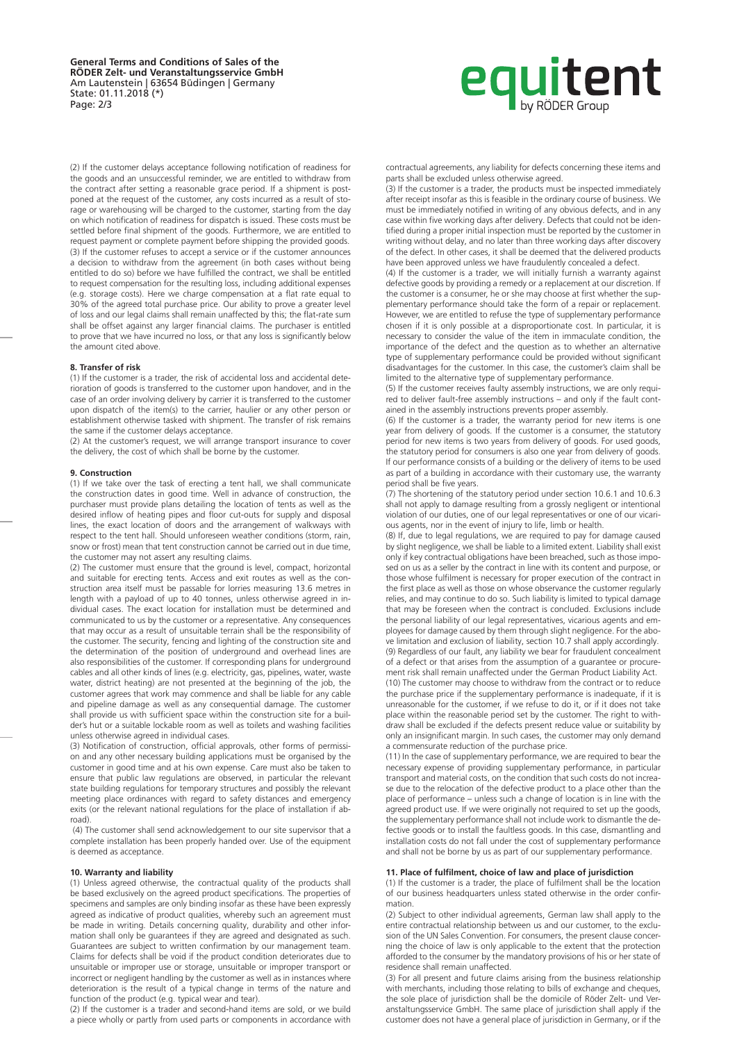**General Terms and Conditions of Sales of the RÖDER Zelt- und Veranstaltungsservice GmbH** Am Lautenstein | 63654 Büdingen | Germany State: 01.11.2018 (\*) Page: 2/3

# **equitent**

(2) If the customer delays acceptance following notification of readiness for the goods and an unsuccessful reminder, we are entitled to withdraw from the contract after setting a reasonable grace period. If a shipment is postponed at the request of the customer, any costs incurred as a result of storage or warehousing will be charged to the customer, starting from the day on which notification of readiness for dispatch is issued. These costs must be settled before final shipment of the goods. Furthermore, we are entitled to request payment or complete payment before shipping the provided goods. (3) If the customer refuses to accept a service or if the customer announces a decision to withdraw from the agreement (in both cases without being entitled to do so) before we have fulfilled the contract, we shall be entitled to request compensation for the resulting loss, including additional expenses (e.g. storage costs). Here we charge compensation at a flat rate equal to 30% of the agreed total purchase price. Our ability to prove a greater level of loss and our legal claims shall remain unaffected by this; the flat-rate sum shall be offset against any larger financial claims. The purchaser is entitled to prove that we have incurred no loss, or that any loss is significantly below the amount cited above.

#### **8. Transfer of risk**

(1) If the customer is a trader, the risk of accidental loss and accidental deterioration of goods is transferred to the customer upon handover, and in the case of an order involving delivery by carrier it is transferred to the customer upon dispatch of the item(s) to the carrier, haulier or any other person or establishment otherwise tasked with shipment. The transfer of risk remains the same if the customer delays acceptance.

(2) At the customer's request, we will arrange transport insurance to cover the delivery, the cost of which shall be borne by the customer.

#### **9. Construction**

(1) If we take over the task of erecting a tent hall, we shall communicate the construction dates in good time. Well in advance of construction, the purchaser must provide plans detailing the location of tents as well as the desired inflow of heating pipes and floor cut-outs for supply and disposal lines, the exact location of doors and the arrangement of walkways with respect to the tent hall. Should unforeseen weather conditions (storm, rain, snow or frost) mean that tent construction cannot be carried out in due time, the customer may not assert any resulting claims.

(2) The customer must ensure that the ground is level, compact, horizontal and suitable for erecting tents. Access and exit routes as well as the construction area itself must be passable for lorries measuring 13.6 metres in length with a payload of up to 40 tonnes, unless otherwise agreed in individual cases. The exact location for installation must be determined and communicated to us by the customer or a representative. Any consequences that may occur as a result of unsuitable terrain shall be the responsibility of the customer. The security, fencing and lighting of the construction site and the determination of the position of underground and overhead lines are also responsibilities of the customer. If corresponding plans for underground cables and all other kinds of lines (e.g. electricity, gas, pipelines, water, waste water, district heating) are not presented at the beginning of the job, the customer agrees that work may commence and shall be liable for any cable and pipeline damage as well as any consequential damage. The customer shall provide us with sufficient space within the construction site for a builder's hut or a suitable lockable room as well as toilets and washing facilities unless otherwise agreed in individual cases.

(3) Notification of construction, official approvals, other forms of permission and any other necessary building applications must be organised by the customer in good time and at his own expense. Care must also be taken to ensure that public law regulations are observed, in particular the relevant state building regulations for temporary structures and possibly the relevant meeting place ordinances with regard to safety distances and emergency exits (or the relevant national regulations for the place of installation if abroad).

 (4) The customer shall send acknowledgement to our site supervisor that a complete installation has been properly handed over. Use of the equipment is deemed as acceptance.

## **10. Warranty and liability**

(1) Unless agreed otherwise, the contractual quality of the products shall be based exclusively on the agreed product specifications. The properties of specimens and samples are only binding insofar as these have been expressly agreed as indicative of product qualities, whereby such an agreement must be made in writing. Details concerning quality, durability and other information shall only be guarantees if they are agreed and designated as such. Guarantees are subject to written confirmation by our management team. Claims for defects shall be void if the product condition deteriorates due to unsuitable or improper use or storage, unsuitable or improper transport or incorrect or negligent handling by the customer as well as in instances where deterioration is the result of a typical change in terms of the nature and function of the product (e.g. typical wear and tear).

(2) If the customer is a trader and second-hand items are sold, or we build a piece wholly or partly from used parts or components in accordance with contractual agreements, any liability for defects concerning these items and parts shall be excluded unless otherwise agreed.

(3) If the customer is a trader, the products must be inspected immediately after receipt insofar as this is feasible in the ordinary course of business. We must be immediately notified in writing of any obvious defects, and in any case within five working days after delivery. Defects that could not be identified during a proper initial inspection must be reported by the customer in writing without delay, and no later than three working days after discovery of the defect. In other cases, it shall be deemed that the delivered products have been approved unless we have fraudulently concealed a defect.

(4) If the customer is a trader, we will initially furnish a warranty against defective goods by providing a remedy or a replacement at our discretion. If the customer is a consumer, he or she may choose at first whether the supplementary performance should take the form of a repair or replacement. However, we are entitled to refuse the type of supplementary performance chosen if it is only possible at a disproportionate cost. In particular, it is necessary to consider the value of the item in immaculate condition, the importance of the defect and the question as to whether an alternative type of supplementary performance could be provided without significant disadvantages for the customer. In this case, the customer's claim shall be limited to the alternative type of supplementary performance.

(5) If the customer receives faulty assembly instructions, we are only required to deliver fault-free assembly instructions – and only if the fault contained in the assembly instructions prevents proper assembly.

(6) If the customer is a trader, the warranty period for new items is one year from delivery of goods. If the customer is a consumer, the statutory period for new items is two years from delivery of goods. For used goods, the statutory period for consumers is also one year from delivery of goods. If our performance consists of a building or the delivery of items to be used as part of a building in accordance with their customary use, the warranty period shall be five years.

(7) The shortening of the statutory period under section 10.6.1 and 10.6.3 shall not apply to damage resulting from a grossly negligent or intentional violation of our duties, one of our legal representatives or one of our vicarious agents, nor in the event of injury to life, limb or health.

(8) If, due to legal regulations, we are required to pay for damage caused by slight negligence, we shall be liable to a limited extent. Liability shall exist only if key contractual obligations have been breached, such as those imposed on us as a seller by the contract in line with its content and purpose, or those whose fulfilment is necessary for proper execution of the contract in the first place as well as those on whose observance the customer regularly relies, and may continue to do so. Such liability is limited to typical damage that may be foreseen when the contract is concluded. Exclusions include the personal liability of our legal representatives, vicarious agents and employees for damage caused by them through slight negligence. For the above limitation and exclusion of liability, section 10.7 shall apply accordingly. (9) Regardless of our fault, any liability we bear for fraudulent concealment of a defect or that arises from the assumption of a guarantee or procurement risk shall remain unaffected under the German Product Liability Act. (10) The customer may choose to withdraw from the contract or to reduce the purchase price if the supplementary performance is inadequate, if it is unreasonable for the customer, if we refuse to do it, or if it does not take place within the reasonable period set by the customer. The right to withdraw shall be excluded if the defects present reduce value or suitability by only an insignificant margin. In such cases, the customer may only demand a commensurate reduction of the purchase price.

(11) In the case of supplementary performance, we are required to bear the necessary expense of providing supplementary performance, in particular transport and material costs, on the condition that such costs do not increase due to the relocation of the defective product to a place other than the place of performance – unless such a change of location is in line with the agreed product use. If we were originally not required to set up the goods, the supplementary performance shall not include work to dismantle the defective goods or to install the faultless goods. In this case, dismantling and installation costs do not fall under the cost of supplementary performance and shall not be borne by us as part of our supplementary performance.

### **11. Place of fulfilment, choice of law and place of jurisdiction**

(1) If the customer is a trader, the place of fulfilment shall be the location of our business headquarters unless stated otherwise in the order confirmation.

(2) Subject to other individual agreements, German law shall apply to the entire contractual relationship between us and our customer, to the exclusion of the UN Sales Convention. For consumers, the present clause concerning the choice of law is only applicable to the extent that the protection afforded to the consumer by the mandatory provisions of his or her state of residence shall remain unaffected.

(3) For all present and future claims arising from the business relationship with merchants, including those relating to bills of exchange and cheques, the sole place of jurisdiction shall be the domicile of Röder Zelt- und Veranstaltungsservice GmbH. The same place of jurisdiction shall apply if the customer does not have a general place of jurisdiction in Germany, or if the